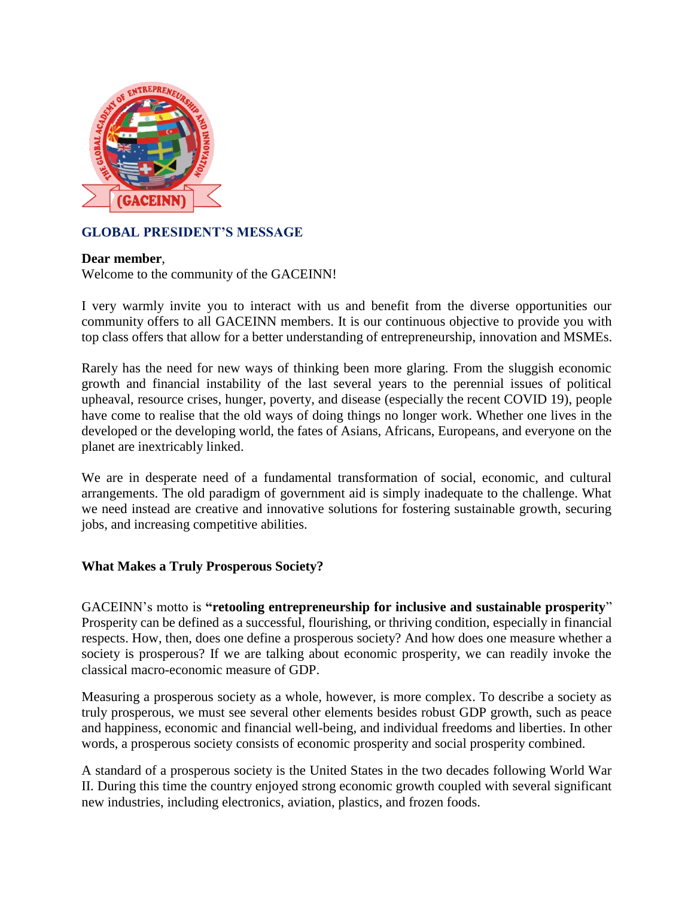

# **GLOBAL PRESIDENT'S MESSAGE**

# **Dear member**,

Welcome to the community of the GACEINN!

I very warmly invite you to interact with us and benefit from the diverse opportunities our community offers to all GACEINN members. It is our continuous objective to provide you with top class offers that allow for a better understanding of entrepreneurship, innovation and MSMEs.

Rarely has the need for new ways of thinking been more glaring. From the sluggish economic growth and financial instability of the last several years to the perennial issues of political upheaval, resource crises, hunger, poverty, and disease (especially the recent COVID 19), people have come to realise that the old ways of doing things no longer work. Whether one lives in the developed or the developing world, the fates of Asians, Africans, Europeans, and everyone on the planet are inextricably linked.

We are in desperate need of a fundamental transformation of social, economic, and cultural arrangements. The old paradigm of government aid is simply inadequate to the challenge. What we need instead are creative and innovative solutions for fostering sustainable growth, securing jobs, and increasing competitive abilities.

# **What Makes a Truly Prosperous Society?**

GACEINN's motto is **"retooling entrepreneurship for inclusive and sustainable prosperity**" Prosperity can be defined as a successful, flourishing, or thriving condition, especially in financial respects. How, then, does one define a prosperous society? And how does one measure whether a society is prosperous? If we are talking about economic prosperity, we can readily invoke the classical macro-economic measure of GDP.

Measuring a prosperous society as a whole, however, is more complex. To describe a society as truly prosperous, we must see several other elements besides robust GDP growth, such as peace and happiness, economic and financial well-being, and individual freedoms and liberties. In other words, a prosperous society consists of economic prosperity and social prosperity combined.

A standard of a prosperous society is the United States in the two decades following World War II. During this time the country enjoyed strong economic growth coupled with several significant new industries, including electronics, aviation, plastics, and frozen foods.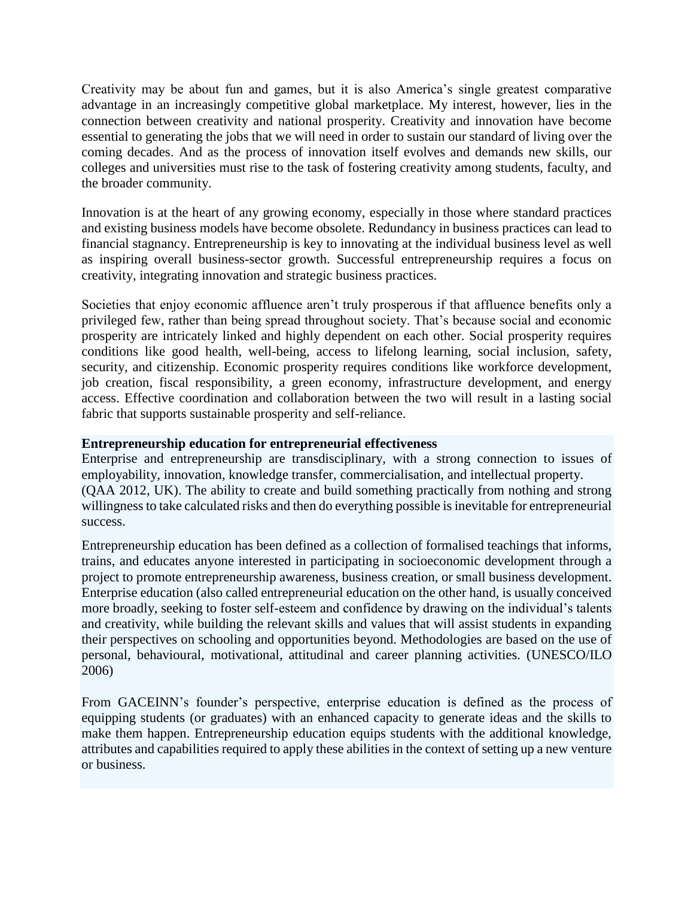Creativity may be about fun and games, but it is also America's single greatest comparative advantage in an increasingly competitive global marketplace. My interest, however, lies in the connection between creativity and national prosperity. Creativity and innovation have become essential to generating the jobs that we will need in order to sustain our standard of living over the coming decades. And as the process of innovation itself evolves and demands new skills, our colleges and universities must rise to the task of fostering creativity among students, faculty, and the broader community.

Innovation is at the heart of any growing economy, especially in those where standard practices and existing business models have become obsolete. Redundancy in business practices can lead to financial stagnancy. Entrepreneurship is key to innovating at the individual business level as well as inspiring overall business-sector growth. Successful entrepreneurship requires a focus on creativity, integrating innovation and strategic business practices.

Societies that enjoy economic affluence aren't truly prosperous if that affluence benefits only a privileged few, rather than being spread throughout society. That's because social and economic prosperity are intricately linked and highly dependent on each other. Social prosperity requires conditions like good health, well-being, access to lifelong learning, social inclusion, safety, security, and citizenship. Economic prosperity requires conditions like workforce development, job creation, fiscal responsibility, a green economy, infrastructure development, and energy access. Effective coordination and collaboration between the two will result in a lasting social fabric that supports sustainable prosperity and self-reliance.

### **Entrepreneurship education for entrepreneurial effectiveness**

Enterprise and entrepreneurship are transdisciplinary, with a strong connection to issues of employability, innovation, knowledge transfer, commercialisation, and intellectual property. [\(QAA 2012, UK\)](javascript:divshow(). The ability to create and build something practically from nothing and strong willingness to take calculated risks and then do everything possible is inevitable for entrepreneurial success.

Entrepreneurship education has been defined as a collection of formalised teachings that informs, trains, and educates anyone interested in participating in socioeconomic development through a project to promote entrepreneurship awareness, business creation, or small business development. Enterprise education (also called entrepreneurial education on the other hand, is usually conceived more broadly, seeking to foster self-esteem and confidence by drawing on the individual's talents and creativity, while building the relevant skills and values that will assist students in expanding their perspectives on schooling and opportunities beyond. Methodologies are based on the use of personal, behavioural, motivational, attitudinal and career planning activities. [\(UNESCO/ILO](javascript:divshow()  [2006\)](javascript:divshow()

From GACEINN's founder's perspective, enterprise education is defined as the process of equipping students (or graduates) with an enhanced capacity to generate ideas and the skills to make them happen. Entrepreneurship education equips students with the additional knowledge, attributes and capabilities required to apply these abilities in the context of setting up a new venture or business.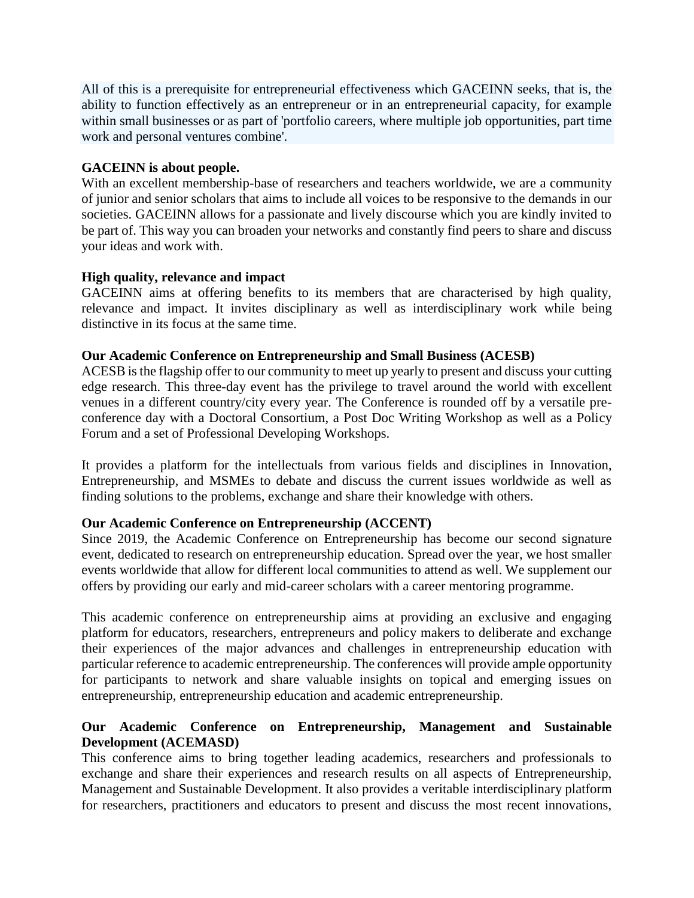All of this is a prerequisite for entrepreneurial effectiveness which GACEINN seeks, that is, the ability to function effectively as an entrepreneur or in an entrepreneurial capacity, for example within small businesses or as part of 'portfolio careers, where multiple job opportunities, part time work and personal ventures combine'.

### **GACEINN is about people.**

With an excellent membership-base of researchers and teachers worldwide, we are a community of junior and senior scholars that aims to include all voices to be responsive to the demands in our societies. GACEINN allows for a passionate and lively discourse which you are kindly invited to be part of. This way you can broaden your networks and constantly find peers to share and discuss your ideas and work with.

### **High quality, relevance and impact**

GACEINN aims at offering benefits to its members that are characterised by high quality, relevance and impact. It invites disciplinary as well as interdisciplinary work while being distinctive in its focus at the same time.

### **Our Academic Conference on Entrepreneurship and Small Business (ACESB)**

ACESB is the flagship offer to our community to meet up yearly to present and discuss your cutting edge research. This three-day event has the privilege to travel around the world with excellent venues in a different country/city every year. The Conference is rounded off by a versatile preconference day with a Doctoral Consortium, a Post Doc Writing Workshop as well as a Policy Forum and a set of Professional Developing Workshops.

It provides a platform for the intellectuals from various fields and disciplines in Innovation, Entrepreneurship, and MSMEs to debate and discuss the current issues worldwide as well as finding solutions to the problems, exchange and share their knowledge with others.

# **Our Academic Conference on Entrepreneurship (ACCENT)**

Since 2019, the Academic Conference on Entrepreneurship has become our second signature event, dedicated to research on entrepreneurship education. Spread over the year, we host smaller events worldwide that allow for different local communities to attend as well. We supplement our offers by providing our early and mid-career scholars with a career mentoring programme.

This academic conference on entrepreneurship aims at providing an exclusive and engaging platform for educators, researchers, entrepreneurs and policy makers to deliberate and exchange their experiences of the major advances and challenges in entrepreneurship education with particular reference to academic entrepreneurship. The conferences will provide ample opportunity for participants to network and share valuable insights on topical and emerging issues on entrepreneurship, entrepreneurship education and academic entrepreneurship.

# **Our Academic Conference on Entrepreneurship, Management and Sustainable Development (ACEMASD)**

This conference aims to bring together leading academics, researchers and professionals to exchange and share their experiences and research results on all aspects of Entrepreneurship, Management and Sustainable Development. It also provides a veritable interdisciplinary platform for researchers, practitioners and educators to present and discuss the most recent innovations,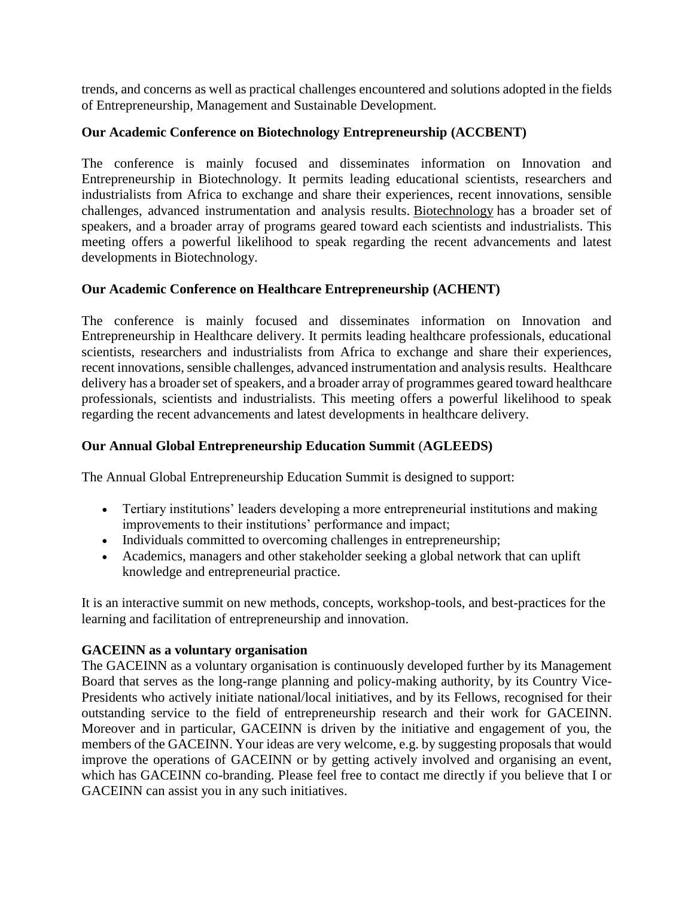trends, and concerns as well as practical challenges encountered and solutions adopted in the fields of Entrepreneurship, Management and Sustainable Development.

### **Our Academic Conference on Biotechnology Entrepreneurship (ACCBENT)**

The conference is mainly focused and disseminates information on Innovation and Entrepreneurship in Biotechnology. It permits leading educational scientists, researchers and industrialists from Africa to exchange and share their experiences, recent innovations, sensible challenges, advanced instrumentation and analysis results. [Biotechnology](https://biotechnology.insightconferences.com/) has a broader set of speakers, and a broader array of programs geared toward each scientists and industrialists. This meeting offers a powerful likelihood to speak regarding the recent advancements and latest developments in Biotechnology.

#### **Our Academic Conference on Healthcare Entrepreneurship (ACHENT)**

The conference is mainly focused and disseminates information on Innovation and Entrepreneurship in Healthcare delivery. It permits leading healthcare professionals, educational scientists, researchers and industrialists from Africa to exchange and share their experiences, recent innovations, sensible challenges, advanced instrumentation and analysis results. Healthcare delivery has a broader set of speakers, and a broader array of programmes geared toward healthcare professionals, scientists and industrialists. This meeting offers a powerful likelihood to speak regarding the recent advancements and latest developments in healthcare delivery.

#### **Our Annual Global Entrepreneurship Education Summit** (**AGLEEDS)**

The Annual Global Entrepreneurship Education Summit is designed to support:

- Tertiary institutions' leaders developing a more entrepreneurial institutions and making improvements to their institutions' performance and impact;
- Individuals committed to overcoming challenges in entrepreneurship;
- Academics, managers and other stakeholder seeking a global network that can uplift knowledge and entrepreneurial practice.

It is an interactive summit on new methods, concepts, workshop-tools, and best-practices for the learning and facilitation of entrepreneurship and innovation.

#### **GACEINN as a voluntary organisation**

The GACEINN as a voluntary organisation is continuously developed further by its Management Board that serves as the long-range planning and policy-making authority, by its Country Vice-Presidents who actively initiate national/local initiatives, and by its Fellows, recognised for their outstanding service to the field of entrepreneurship research and their work for GACEINN. Moreover and in particular, GACEINN is driven by the initiative and engagement of you, the members of the GACEINN. Your ideas are very welcome, e.g. by suggesting proposals that would improve the operations of GACEINN or by getting actively involved and organising an event, which has GACEINN co-branding. Please feel free to contact me directly if you believe that I or GACEINN can assist you in any such initiatives.